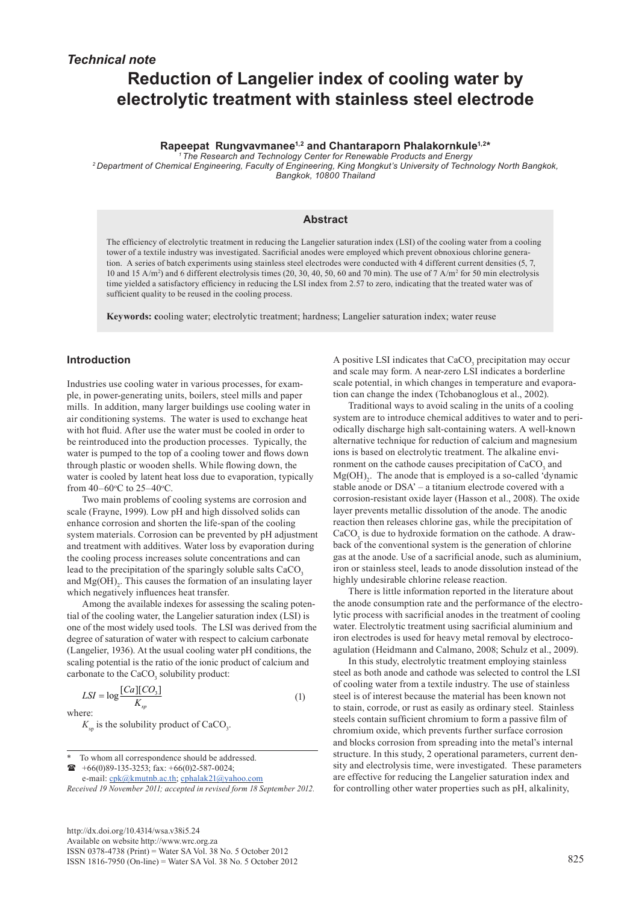# **Reduction of Langelier index of cooling water by electrolytic treatment with stainless steel electrode**

**Rapeepat Rungvavmanee<sup>1,2</sup> and Chantaraporn Phalakornkule<sup>1,2\*</sup>**<br><sup>1</sup> The Research and Technology Center for Renewable Products and Energy

<sup>2</sup> Department of Chemical Engineering, Faculty of Engineering, King Mongkut's University of Technology North Bangkok, *Bangkok, 10800 Thailand*

#### **Abstract**

The efficiency of electrolytic treatment in reducing the Langelier saturation index (LSI) of the cooling water from a cooling tower of a textile industry was investigated. Sacrificial anodes were employed which prevent obnoxious chlorine generation. A series of batch experiments using stainless steel electrodes were conducted with 4 different current densities (5, 7, 10 and 15 A/m<sup>2</sup>) and 6 different electrolysis times (20, 30, 40, 50, 60 and 70 min). The use of 7 A/m<sup>2</sup> for 50 min electrolysis time yielded a satisfactory efficiency in reducing the LSI index from 2.57 to zero, indicating that the treated water was of sufficient quality to be reused in the cooling process.

**Keywords: c**ooling water; electrolytic treatment; hardness; Langelier saturation index; water reuse

## **Introduction**

Industries use cooling water in various processes, for example, in power-generating units, boilers, steel mills and paper mills. In addition, many larger buildings use cooling water in air conditioning systems. The water is used to exchange heat with hot fluid. After use the water must be cooled in order to be reintroduced into the production processes. Typically, the water is pumped to the top of a cooling tower and flows down through plastic or wooden shells. While flowing down, the water is cooled by latent heat loss due to evaporation, typically from  $40-60^{\circ}$ C to  $25-40^{\circ}$ C.

Two main problems of cooling systems are corrosion and scale (Frayne, 1999). Low pH and high dissolved solids can enhance corrosion and shorten the life-span of the cooling system materials. Corrosion can be prevented by pH adjustment and treatment with additives. Water loss by evaporation during the cooling process increases solute concentrations and can lead to the precipitation of the sparingly soluble salts CaCO<sub>3</sub> and  $Mg(OH)_{2}$ . This causes the formation of an insulating layer which negatively influences heat transfer.

Among the available indexes for assessing the scaling potential of the cooling water, the Langelier saturation index (LSI) is one of the most widely used tools. The LSI was derived from the degree of saturation of water with respect to calcium carbonate (Langelier, 1936). At the usual cooling water pH conditions, the scaling potential is the ratio of the ionic product of calcium and carbonate to the  $CaCO<sub>3</sub>$  solubility product:

$$
LSI = \log \frac{[Ca][CO_3]}{K_{sp}} \tag{1}
$$

where:

 $K_{\rm sp}$  is the solubility product of CaCO<sub>3</sub>.

To whom all correspondence should be addressed.

 $\bullet$  +66(0)89-135-3253; fax: +66(0)2-587-0024;

e-mail: [cpk@kmutnb.ac.th](mailto:cpk@kmutnb.ac.th); [cphalak21@yahoo.com](mailto:cphalak21@yahoo.com)

*Received 19 November 2011; accepted in revised form 18 September 2012.*

[http://dx.doi.org/10.4314/wsa.v38i5.24](http://dx.doi.org/10.4314/wsa.v37i4.18) Available on website http://www.wrc.org.za ISSN 0378-4738 (Print) = Water SA Vol. 38 No. 5 October 2012 ISSN 1816-7950 (On-line) = Water SA Vol. 38 No. 5 October 2012 825

A positive LSI indicates that  $CaCO<sub>3</sub>$  precipitation may occur and scale may form. A near-zero LSI indicates a borderline scale potential, in which changes in temperature and evaporation can change the index (Tchobanoglous et al., 2002).

Traditional ways to avoid scaling in the units of a cooling system are to introduce chemical additives to water and to periodically discharge high salt-containing waters. A well-known alternative technique for reduction of calcium and magnesium ions is based on electrolytic treatment. The alkaline environment on the cathode causes precipitation of  $CaCO<sub>3</sub>$  and  $Mg(OH)$ <sub>2</sub>. The anode that is employed is a so-called 'dynamic stable anode or DSA' – a titanium electrode covered with a corrosion-resistant oxide layer (Hasson et al., 2008). The oxide layer prevents metallic dissolution of the anode. The anodic reaction then releases chlorine gas, while the precipitation of  $CaCO<sub>3</sub>$  is due to hydroxide formation on the cathode. A drawback of the conventional system is the generation of chlorine gas at the anode. Use of a sacrificial anode, such as aluminium, iron or stainless steel, leads to anode dissolution instead of the highly undesirable chlorine release reaction.

There is little information reported in the literature about the anode consumption rate and the performance of the electrolytic process with sacrificial anodes in the treatment of cooling water. Electrolytic treatment using sacrificial aluminium and iron electrodes is used for heavy metal removal by electrocoagulation (Heidmann and Calmano, 2008; Schulz et al., 2009).

In this study, electrolytic treatment employing stainless steel as both anode and cathode was selected to control the LSI of cooling water from a textile industry. The use of stainless steel is of interest because the material has been known not to stain, corrode, or rust as easily as ordinary steel. Stainless steels contain sufficient chromium to form a passive film of chromium oxide, which prevents further surface corrosion and blocks corrosion from spreading into the metal's internal structure. In this study, 2 operational parameters, current density and electrolysis time, were investigated. These parameters are effective for reducing the Langelier saturation index and for controlling other water properties such as pH, alkalinity,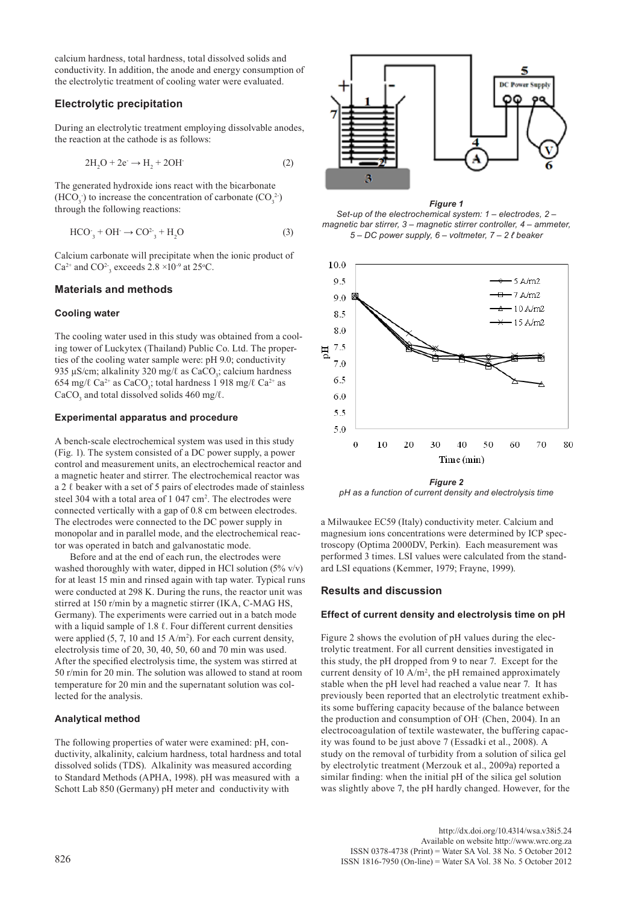calcium hardness, total hardness, total dissolved solids and conductivity. In addition, the anode and energy consumption of the electrolytic treatment of cooling water were evaluated.

# **Electrolytic precipitation**

During an electrolytic treatment employing dissolvable anodes, the reaction at the cathode is as follows:

$$
2H_2O + 2e^- \rightarrow H_2 + 2OH^{\cdot}
$$
 (2)

The generated hydroxide ions react with the bicarbonate  $(HCO<sub>3</sub>)$  to increase the concentration of carbonate  $(CO<sub>3</sub><sup>2</sup>)$ through the following reactions:

$$
HCO3 + OH1 \rightarrow CO23 + H2O
$$
 (3)

Calcium carbonate will precipitate when the ionic product of Ca<sup>2+</sup> and CO<sup>2-</sup><sub>3</sub> exceeds 2.8  $\times$ 10<sup>-9</sup> at 25<sup>o</sup>C.

## **Materials and methods**

#### **Cooling water**

The cooling water used in this study was obtained from a cooling tower of Luckytex (Thailand) Public Co. Ltd. The properties of the cooling water sample were: pH 9.0; conductivity 935 µS/cm; alkalinity 320 mg/ $\ell$  as CaCO<sub>3</sub>; calcium hardness 654 mg/ $\ell$  Ca<sup>2+</sup> as CaCO<sub>3</sub>; total hardness 1 918 mg/ $\ell$  Ca<sup>2+</sup> as CaCO<sub>3</sub> and total dissolved solids 460 mg/ $\ell$ .

## **Experimental apparatus and procedure**

A bench-scale electrochemical system was used in this study (Fig. 1). The system consisted of a DC power supply, a power control and measurement units, an electrochemical reactor and a magnetic heater and stirrer. The electrochemical reactor was a 2 ℓ beaker with a set of 5 pairs of electrodes made of stainless steel 304 with a total area of  $1,047 \text{ cm}^2$ . The electrodes were connected vertically with a gap of 0.8 cm between electrodes. The electrodes were connected to the DC power supply in monopolar and in parallel mode, and the electrochemical reactor was operated in batch and galvanostatic mode.

Before and at the end of each run, the electrodes were washed thoroughly with water, dipped in HCl solution  $(5\% \text{ v/v})$ for at least 15 min and rinsed again with tap water. Typical runs were conducted at 298 K. During the runs, the reactor unit was stirred at 150 r/min by a magnetic stirrer (IKA, C-MAG HS, Germany). The experiments were carried out in a batch mode with a liquid sample of 1.8  $\ell$ . Four different current densities were applied  $(5, 7, 10 \text{ and } 15 \text{ A/m}^2)$ . For each current density, electrolysis time of 20, 30, 40, 50, 60 and 70 min was used. After the specified electrolysis time, the system was stirred at 50 r/min for 20 min. The solution was allowed to stand at room temperature for 20 min and the supernatant solution was collected for the analysis.

#### **Analytical method**

The following properties of water were examined: pH, conductivity, alkalinity, calcium hardness, total hardness and total dissolved solids (TDS). Alkalinity was measured according to Standard Methods (APHA, 1998). pH was measured with a Schott Lab 850 (Germany) pH meter and conductivity with



*Figure 1 Set-up of the electrochemical system: 1 – electrodes, 2 – magnetic bar stirrer, 3 – magnetic stirrer controller, 4 – ammeter, 5 – DC power supply, 6 – voltmeter, 7 – 2 ℓ beaker*



*Figure 2 pH as a function of current density and electrolysis time*

a Milwaukee EC59 (Italy) conductivity meter. Calcium and magnesium ions concentrations were determined by ICP spectroscopy (Optima 2000DV, Perkin). Each measurement was performed 3 times. LSI values were calculated from the standard LSI equations (Kemmer, 1979; Frayne, 1999).

## **Results and discussion**

#### **Effect of current density and electrolysis time on pH**

Figure 2 shows the evolution of pH values during the electrolytic treatment. For all current densities investigated in this study, the pH dropped from 9 to near 7. Except for the current density of  $10 \text{ A/m}^2$ , the pH remained approximately stable when the pH level had reached a value near 7. It has previously been reported that an electrolytic treatment exhibits some buffering capacity because of the balance between the production and consumption of OH- (Chen, 2004). In an electrocoagulation of textile wastewater, the buffering capacity was found to be just above 7 (Essadki et al., 2008). A study on the removal of turbidity from a solution of silica gel by electrolytic treatment (Merzouk et al., 2009a) reported a similar finding: when the initial pH of the silica gel solution was slightly above 7, the pH hardly changed. However, for the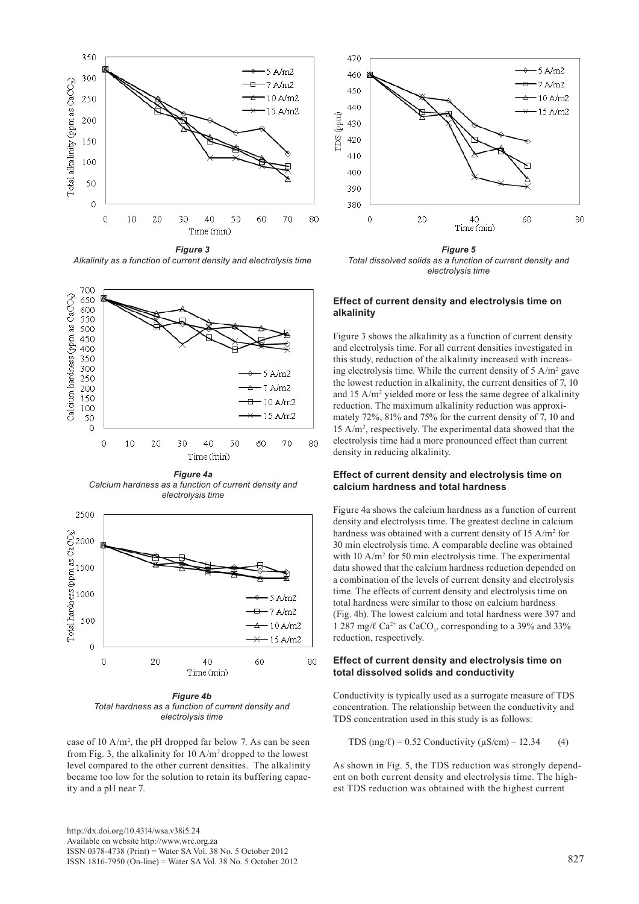

*Figure 3 Alkalinity as a function of current density and electrolysis time* 



*Figure 4a Calcium hardness as a function of current density and electrolysis time*



*Figure 4b Total hardness as a function of current density and electrolysis time*

case of 10 A/m2 , the pH dropped far below 7. As can be seen from Fig. 3, the alkalinity for 10 A/m2 dropped to the lowest level compared to the other current densities. The alkalinity became too low for the solution to retain its buffering capacity and a pH near 7.

[http://dx.doi.org/10.4314/wsa.v38i5.24](http://dx.doi.org/10.4314/wsa.v37i4.18) Available on website http://www.wrc.org.za ISSN 0378-4738 (Print) = Water SA Vol. 38 No. 5 October 2012 ISSN 1816-7950 (On-line) = Water SA Vol. 38 No. 5 October 2012 827



*Figure 5 Total dissolved solids as a function of current density and electrolysis time*

## **Effect of current density and electrolysis time on alkalinity**

Figure 3 shows the alkalinity as a function of current density and electrolysis time. For all current densities investigated in this study, reduction of the alkalinity increased with increasing electrolysis time. While the current density of  $5 \text{ A/m}^2$  gave the lowest reduction in alkalinity, the current densities of 7, 10 and 15  $A/m^2$  yielded more or less the same degree of alkalinity reduction. The maximum alkalinity reduction was approximately 72%, 81% and 75% for the current density of 7, 10 and 15 A/m2 , respectively. The experimental data showed that the electrolysis time had a more pronounced effect than current density in reducing alkalinity.

## **Effect of current density and electrolysis time on calcium hardness and total hardness**

Figure 4a shows the calcium hardness as a function of current density and electrolysis time. The greatest decline in calcium hardness was obtained with a current density of 15 A/m<sup>2</sup> for 30 min electrolysis time. A comparable decline was obtained with 10 A/m<sup>2</sup> for 50 min electrolysis time. The experimental data showed that the calcium hardness reduction depended on a combination of the levels of current density and electrolysis time. The effects of current density and electrolysis time on total hardness were similar to those on calcium hardness (Fig. 4b). The lowest calcium and total hardness were 397 and 1 287 mg/ $\ell$  Ca<sup>2+</sup> as CaCO<sub>3</sub>, corresponding to a 39% and 33% reduction, respectively.

#### **Effect of current density and electrolysis time on total dissolved solids and conductivity**

Conductivity is typically used as a surrogate measure of TDS concentration. The relationship between the conductivity and TDS concentration used in this study is as follows:

TDS (mg/ $\ell$ ) = 0.52 Conductivity ( $\mu$ S/cm) – 12.34 (4)

As shown in Fig. 5, the TDS reduction was strongly dependent on both current density and electrolysis time. The highest TDS reduction was obtained with the highest current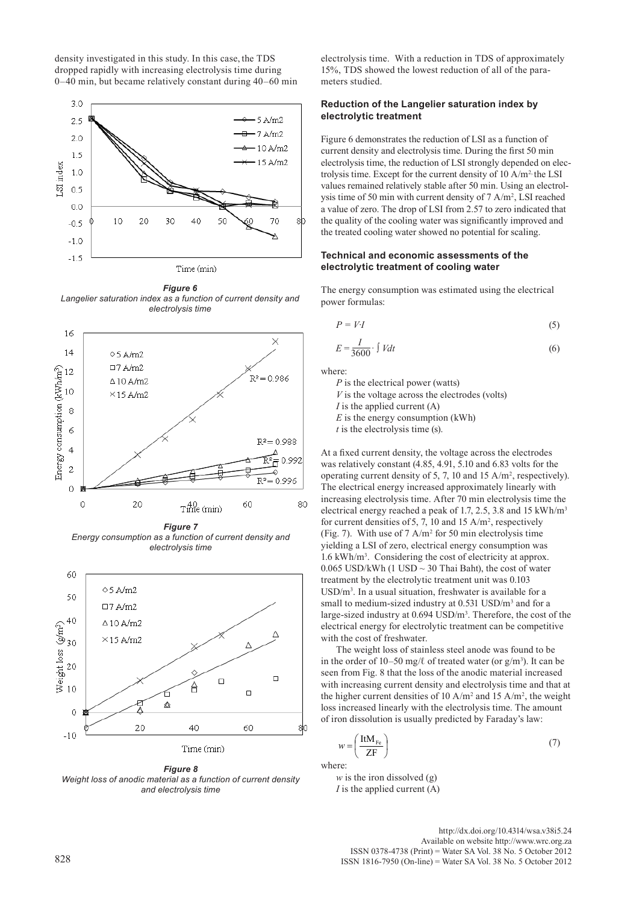density investigated in this study. In this case, the TDS dropped rapidly with increasing electrolysis time during 0–40 min, but became relatively constant during 40–60 min



*Figure 6 Langelier saturation index as a function of current density and electrolysis time*



*Figure 7 Energy consumption as a function of current density and electrolysis time*



*Figure 8 Weight loss of anodic material as a function of current density and electrolysis time*

electrolysis time. With a reduction in TDS of approximately 15%, TDS showed the lowest reduction of all of the parameters studied.

## **Reduction of the Langelier saturation index by electrolytic treatment**

Figure 6 demonstrates the reduction of LSI as a function of current density and electrolysis time. During the first 50 min electrolysis time, the reduction of LSI strongly depended on electrolysis time. Except for the current density of  $10 \text{ A/m}^2$  the LSI values remained relatively stable after 50 min. Using an electrolysis time of 50 min with current density of 7 A/m2 , LSI reached a value of zero. The drop of LSI from 2.57 to zero indicated that the quality of the cooling water was significantly improved and the treated cooling water showed no potential for scaling.

## **Technical and economic assessments of the electrolytic treatment of cooling water**

The energy consumption was estimated using the electrical power formulas:

$$
P = V \tag{5}
$$

$$
E = \frac{I}{3600} \cdot \int Vdt
$$
 (6)

where:

*P* is the electrical power (watts) *V* is the voltage across the electrodes (volts) *I* is the applied current (A) *E* is the energy consumption (kWh) *t* is the electrolysis time (s).

At a fixed current density, the voltage across the electrodes was relatively constant (4.85, 4.91, 5.10 and 6.83 volts for the operating current density of 5, 7, 10 and 15 A/m<sup>2</sup>, respectively). The electrical energy increased approximately linearly with increasing electrolysis time. After 70 min electrolysis time the electrical energy reached a peak of 1.7, 2.5, 3.8 and 15 kWh/m3 for current densities of 5, 7, 10 and 15  $A/m^2$ , respectively (Fig. 7). With use of 7 A/m2 for 50 min electrolysis time yielding a LSI of zero, electrical energy consumption was 1.6 kWh/m3 . Considering the cost of electricity at approx.  $0.065$  USD/kWh (1 USD  $\sim$  30 Thai Baht), the cost of water treatment by the electrolytic treatment unit was 0.103 USD/m<sup>3</sup>. In a usual situation, freshwater is available for a small to medium-sized industry at 0.531 USD/m<sup>3</sup> and for a large-sized industry at 0.694 USD/m3 . Therefore, the cost of the electrical energy for electrolytic treatment can be competitive with the cost of freshwater.

The weight loss of stainless steel anode was found to be in the order of 10–50 mg/ $\ell$  of treated water (or g/m<sup>3</sup>). It can be seen from Fig. 8 that the loss of the anodic material increased with increasing current density and electrolysis time and that at the higher current densities of 10 A/m<sup>2</sup> and 15 A/m<sup>2</sup>, the weight loss increased linearly with the electrolysis time. The amount of iron dissolution is usually predicted by Faraday's law:

$$
w = \left(\frac{\text{ItM}_{\text{Fe}}}{ZF}\right) \tag{7}
$$

where: *w* is the iron dissolved (g)

*I* is the applied current (A)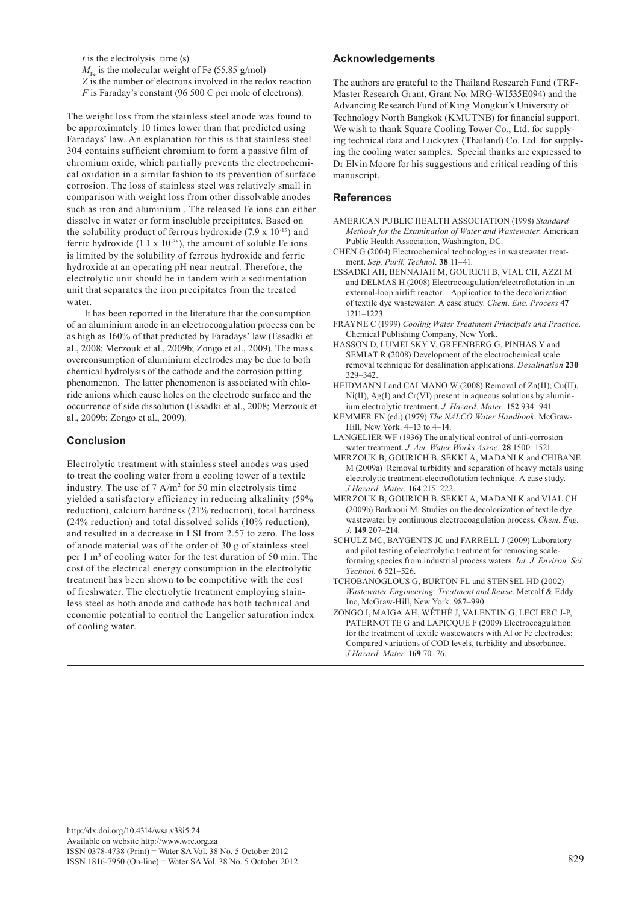*t* is the electrolysis time (s)

 $M_{\text{Fe}}$  is the molecular weight of Fe (55.85 g/mol)

*Z* is the number of electrons involved in the redox reaction

*F* is Faraday's constant (96 500 C per mole of electrons).

The weight loss from the stainless steel anode was found to be approximately 10 times lower than that predicted using Faradays' law. An explanation for this is that stainless steel 304 contains sufficient chromium to form a passive film of chromium oxide, which partially prevents the electrochemical oxidation in a similar fashion to its prevention of surface corrosion. The loss of stainless steel was relatively small in comparison with weight loss from other dissolvable anodes such as iron and aluminium . The released Fe ions can either dissolve in water or form insoluble precipitates. Based on the solubility product of ferrous hydroxide  $(7.9 \times 10^{-15})$  and ferric hydroxide  $(1.1 \times 10^{-36})$ , the amount of soluble Fe ions is limited by the solubility of ferrous hydroxide and ferric hydroxide at an operating pH near neutral. Therefore, the electrolytic unit should be in tandem with a sedimentation unit that separates the iron precipitates from the treated water.

 It has been reported in the literature that the consumption of an aluminium anode in an electrocoagulation process can be as high as 160% of that predicted by Faradays' law (Essadki et al., 2008; Merzouk et al., 2009b; Zongo et al., 2009). The mass overconsumption of aluminium electrodes may be due to both chemical hydrolysis of the cathode and the corrosion pitting phenomenon. The latter phenomenon is associated with chloride anions which cause holes on the electrode surface and the occurrence of side dissolution (Essadki et al., 2008; Merzouk et al., 2009b; Zongo et al., 2009).

## **Conclusion**

Electrolytic treatment with stainless steel anodes was used to treat the cooling water from a cooling tower of a textile industry. The use of  $7 \text{ A/m}^2$  for 50 min electrolysis time yielded a satisfactory efficiency in reducing alkalinity (59% reduction), calcium hardness (21% reduction), total hardness (24% reduction) and total dissolved solids (10% reduction), and resulted in a decrease in LSI from 2.57 to zero. The loss of anode material was of the order of 30 g of stainless steel per 1 m3 of cooling water for the test duration of 50 min. The cost of the electrical energy consumption in the electrolytic treatment has been shown to be competitive with the cost of freshwater. The electrolytic treatment employing stainless steel as both anode and cathode has both technical and economic potential to control the Langelier saturation index of cooling water.

## **Acknowledgements**

The authors are grateful to the Thailand Research Fund (TRF-Master Research Grant, Grant No. MRG-WI535E094) and the Advancing Research Fund of King Mongkut's University of Technology North Bangkok (KMUTNB) for financial support. We wish to thank Square Cooling Tower Co., Ltd. for supplying technical data and Luckytex (Thailand) Co. Ltd. for supplying the cooling water samples. Special thanks are expressed to Dr Elvin Moore for his suggestions and critical reading of this manuscript.

## **References**

- AMERICAN PUBLIC HEALTH ASSOCIATION (1998) *Standard Methods for the Examination of Water and Wastewater*. American Public Health Association, Washington, DC.
- CHEN G (2004) Electrochemical technologies in wastewater treatment. *Sep. Purif. Technol.* **38** 11–41.
- ESSADKI AH, BENNAJAH M, GOURICH B, VIAL CH, AZZI M and DELMAS H (2008) Electrocoagulation/electroflotation in an external-loop airlift reactor – Application to the decolorization of textile dye wastewater: A case study. *Chem. Eng. Process* **47** 1211–1223.
- FRAYNE C (1999) *Cooling Water Treatment Principals and Practice*. Chemical Publishing Company, New York.
- HASSON D, LUMELSKY V, GREENBERG G, PINHAS Y and SEMIAT R (2008) Development of the electrochemical scale removal technique for desalination applications. *Desalination* **230** 329–342.
- HEIDMANN I and CALMANO W (2008) Removal of Zn(II), Cu(II), Ni(II), Ag(I) and Cr(VI) present in aqueous solutions by aluminium electrolytic treatment. *J. Hazard. Mater.* **152** 934–941.
- KEMMER FN (ed.) (1979) *The NALCO Water Handbook*. McGraw-Hill, New York. 4–13 to 4–14.
- LANGELIER WF (1936) The analytical control of anti-corrosion water treatment. *J. Am. Water Works Assoc.* **28** 1500–1521.
- MERZOUK B, GOURICH B, SEKKI A, MADANI K and CHIBANE M (2009a) Removal turbidity and separation of heavy metals using electrolytic treatment-electroflotation technique. A case study. *J Hazard. Mater.* **164** 215–222.
- MERZOUK B, GOURICH B, SEKKI A, MADANI K and VIAL CH (2009b) Barkaoui M. Studies on the decolorization of textile dye wastewater by continuous electrocoagulation process. *Chem. Eng. J.* **149** 207–214.
- SCHULZ MC, BAYGENTS JC and FARRELL J (2009) Laboratory and pilot testing of electrolytic treatment for removing scaleforming species from industrial process waters. *Int. J. Environ. Sci. Technol.* **6** 521–526.
- TCHOBANOGLOUS G, BURTON FL and STENSEL HD (2002) *[Wastewater Engineering: Treatment and Reuse](http://www.amazon.co.uk/Wastewater-Engineering-Inc-Metcalf-Eddy/dp/007124140X/ref=sr_1_1?ie=UTF8&s=books&qid=1242270534&sr=1-1)*. Metcalf & Eddy Inc, McGraw-Hill, New York. 987–990.
- ZONGO I, MAIGA AH, WÉTHÉ J, VALENTIN G, LECLERC J-P, PATERNOTTE G and LAPICQUE F (2009) Electrocoagulation for the treatment of textile wastewaters with Al or Fe electrodes: Compared variations of COD levels, turbidity and absorbance. *J Hazard. Mater.* **169** 70–76.